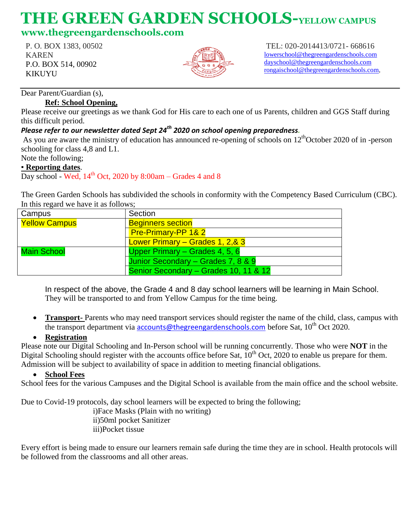# **THE GREEN GARDEN SCHOOLS-YELLOW CAMPUS**

## **www.thegreengardenschools.com**

P. O. BOX 1383, 00502 KAREN P.O. BOX 514, 00902 KIKUYU



TEL: 020-2014413/0721- 668616 [lowerschool@thegreengardenschools.com](about:blank) [dayschool@thegreengardenschools.com](about:blank) [rongaischool@thegreengardenschools.com,](about:blank)

Dear Parent/Guardian (s),

#### **Ref: School Opening,**

Please receive our greetings as we thank God for His care to each one of us Parents, children and GGS Staff during this difficult period.

### *Please refer to our newsletter dated Sept 24th 2020 on school opening preparedness.*

As you are aware the ministry of education has announced re-opening of schools on  $12<sup>th</sup>$ October 2020 of in -person schooling for class 4,8 and L1.

Note the following;

#### ▪ **Reporting dates**.

Day school - Wed,  $14<sup>th</sup>$  Oct, 2020 by 8:00am – Grades 4 and 8

The Green Garden Schools has subdivided the schools in conformity with the Competency Based Curriculum (CBC). In this regard we have it as follows;

| Campus                      | Section                               |
|-----------------------------|---------------------------------------|
| <u><b>Yellow Campus</b></u> | <b>Beginners section</b>              |
|                             | <b>Pre-Primary-PP 1&amp; 2</b>        |
|                             | Lower Primary - Grades 1, 2,& 3       |
| Main School                 | Upper Primary – Grades 4, 5, 6        |
|                             | Junior Secondary - Grades 7, 8 & 9    |
|                             | Senior Secondary - Grades 10, 11 & 12 |

In respect of the above, the Grade 4 and 8 day school learners will be learning in Main School. They will be transported to and from Yellow Campus for the time being.

 **Transport-** Parents who may need transport services should register the name of the child, class, campus with the transport department via **[accounts@thegreengardenschools.com](about:blank)** before Sat, 10<sup>th</sup> Oct 2020.

#### **Registration**

Please note our Digital Schooling and In-Person school will be running concurrently. Those who were **NOT** in the Digital Schooling should register with the accounts office before Sat,  $10^{th}$  Oct, 2020 to enable us prepare for them. Admission will be subject to availability of space in addition to meeting financial obligations.

#### **School Fees**

School fees for the various Campuses and the Digital School is available from the main office and the school website.

Due to Covid-19 protocols, day school learners will be expected to bring the following;

i)Face Masks (Plain with no writing) ii)50ml pocket Sanitizer iii)Pocket tissue

Every effort is being made to ensure our learners remain safe during the time they are in school. Health protocols will be followed from the classrooms and all other areas.